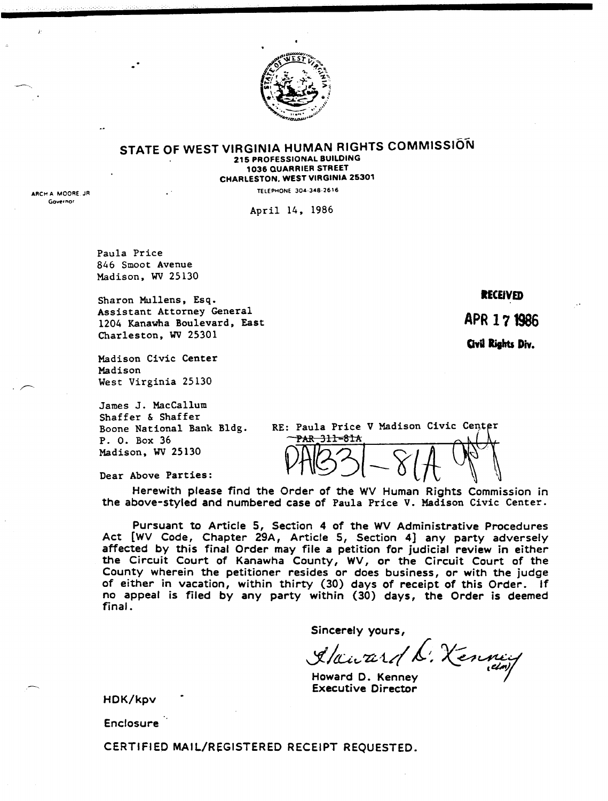

#### STATE OF WEST VIRGINIA HUMAN RIGHTS COMMISSION 215 PROFESSIONAL BUILDING 1036 QUARRIER STREET CHARLESTON. WEST VIRGINIA 25301

TELEPHONE 304·348·2616

April 14, 1986

Paula Price 846 Smoot Avenue Madison, WV25130

Sharon Mullens, Esq. Assistant Attorney General 1204 Kanawha Boulevard, East Charleston, WV25301

Madison Civic Center Madison West Virginia 25130

James J. MacCallum Shaffer & Shaffer Boone National Bank Bldg. P. O. Box 36 Madison, WV25130

RE: Paula Price V Madison Civic PAR 31l-81A PAB31-81A

Dear Above Parties:

Herewith please find the Order of the WV Human Rights Commission in the above-styled and numbered case of Paula Price V. Madison Civic Center.

Pursuant to Article 5, Section 4 of the WV Administrative Procedures Act [WV Code, Chapter 29A, Article 5, Section 4] any party adversely affected by this final Order may file a petition for judicial review in either the Circuit Court of Kanawha County, WV, or the Circuit Court of the County wherein the petitioner resides or does business, or with the judge of either in vacation, within thirty (30) days of receipt of this Order. If no appeal is filed by any party within (30) days, the Order is deemed final.

Sincerely yours,

Y/aA;c,zz,-t/!,(, *J(.~~r·* tC'br).

Howard D. Kenney Executive Director

HDK/kpv

**Enclosure** 

CERTIFIED MAIL/REGISTERED RECEIPT REQUESTED.

RECEIVED

APR 171986

Civil Rights Div.

ARCH A MOORE, JR Governor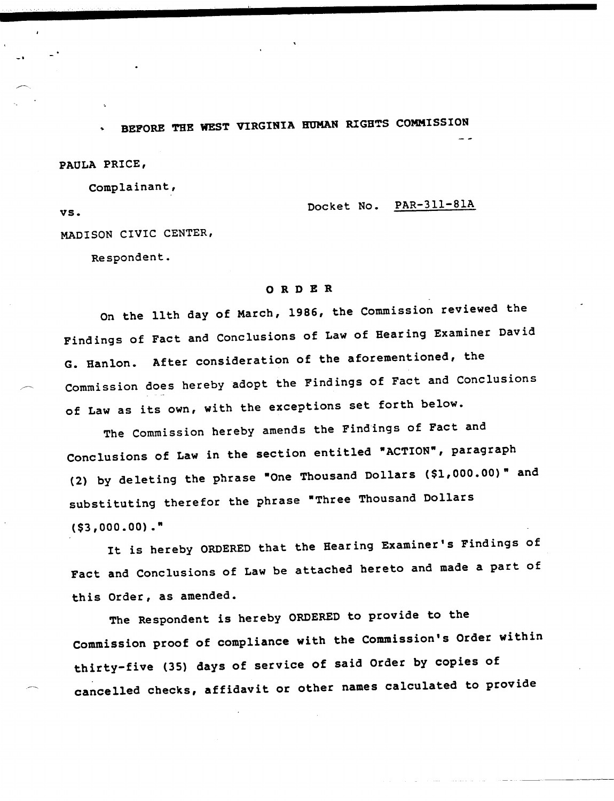BEFORE THE WEST VIRGINIA HUMAN RIGHTS COMMISSION

PAULA PRICE,

VS.

Complainant,

PAR-311-81A Docket No.

MADISON CIVIC CENTER,

Respondent.

## ORDER

On the 11th day of March, 1986, the Commission reviewed the Findings of Fact and Conclusions of Law of Bearing Examiner David G. Hanlon. After consideration of the aforementioned, the Commission does hereby adopt the Findings of Fact and Conclusions of Law as its own, with the exceptions set forth below.

The Commission hereby amends the Findings of Fact and Conclusions of Law in the section entitled "ACTION", paragraph (2) by deleting the phrase "One Thousand Dollars (\$1,000.00)" and substituting therefor the phrase "Three Thousand Dollars (\$3,000.00) ."

It is hereby ORDERED that the Bearing Examiner's Findings of Fact and Conclusions of Law be attached hereto and made a part of this Order, as amended.

The Respondent is hereby ORDERED to provide to the Commission proof of compliance with the Commission's Order within thirty-five (35) days of service of said Order by copies of cancelled checks, affidavit or other names calculated to provide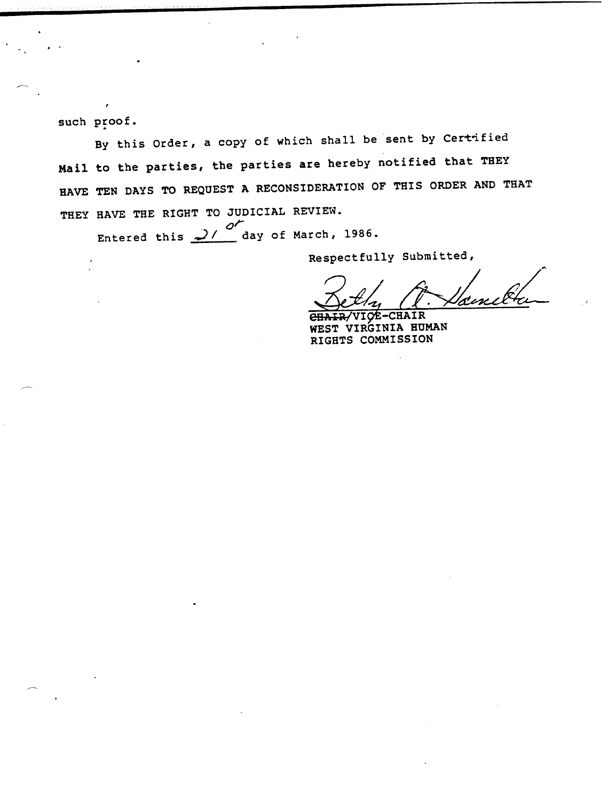such proof.

By this Order, a copy of which shall be sent by Certified<br>Mail to the parties, the parties are hereby notified that THEY HAVE TEN DAYS TO REQUEST A RECONSIDERATION OF THIS ORDER AND THAT THEY HAVE THE RIGHT TO JUDICIAL REVIEW.

ntered this 21 day of March, 1986.

Respectfully Submitted,

'Æ

CHAIR/VICE-CHAIR WEST VIRGINIA HUMAN RIGHTS COMMISSION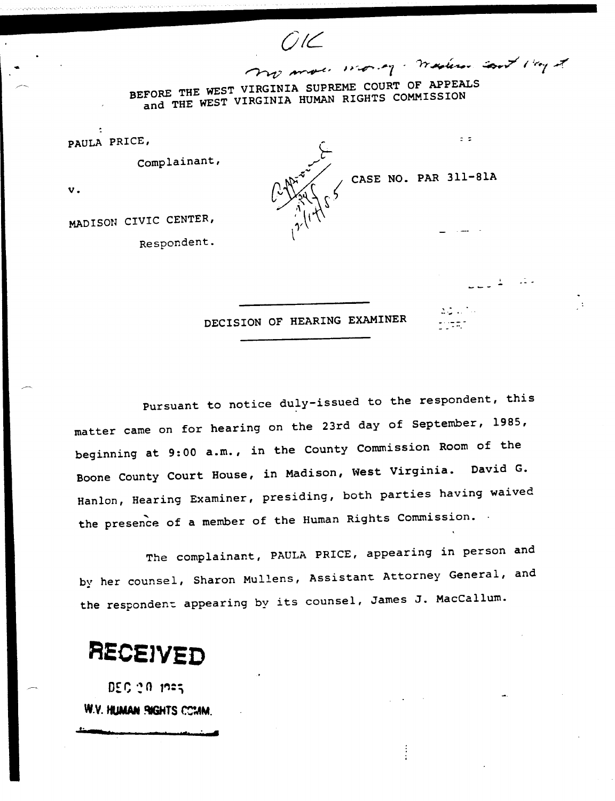$770$  more worky. Western sont 110g of BEFORE THE WEST VIRGINIA SUPREME COURT OF APPEALS and THE WEST VIRGINIA HUMAN RIGHTS COMMISSION

*OIL*

PAULA PRICE,

Complainant,

 $\mathbf{v}$ .

MADISON CIVIC CENTER,

Respondent.

 $\sqrt{$  CASE NO. PAR 311-81A

 $\frac{1}{2}$ 

DECISION OF HEARING EXAMINER

Pursuant to notice duly-issued to the respondent, this matter came on for hearing on the 23rd day of September, 1985, beginning at 9:00 a.m., in the County Commission Room of the Boone County Court House, in Madison, West Virginia. David G. Hanlon, Hearing Examiner, presiding, both parties having waived<br>the presence of a member of the Human Rights Commission.

The complainant, PAULA PRICE, appearing in person and by her counsel, Sharon Mullens, Assistant Attorney General, and the respondent appearing by its counsel, James J. MacCallum.

# **RECSJYED**

 $DCC \geq 0$  ,  $C25$ W.V. HUMAN PIGHTS CCIAM.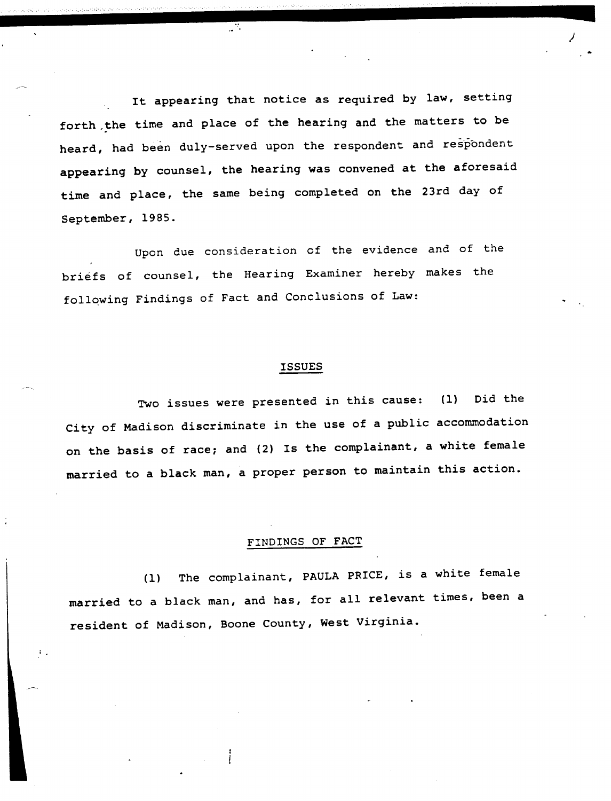It appearing that notice as required by law, setting forth the time and place of the hearing and the matters to be heard, had been duly-served upon the respondent and respondent appearing by counsel, the hearing was convened at the aforesaid time and place, the same being completed on the 23rd day of September, 1985.

73

Upon due consideration of the evidence and of the briefs of counsel, the Hearing Examiner hereby makes the follqwing Findings of Fact and Conclusions of Law:

### **ISSUES**

Two issues were presented in this cause: Did the  $(1)$ City of Madison discriminate in the use of a public accommodation on the basis of race; and (2) Is the complainant, a white female married to a black man, a proper person to maintain this action.

#### FINDINGS OF FACT

(1) The complainant, PAULA PRICE, is a white female married to a black man, and has, for all relevant times, been a resident of Madison, Boone County, West Virginia.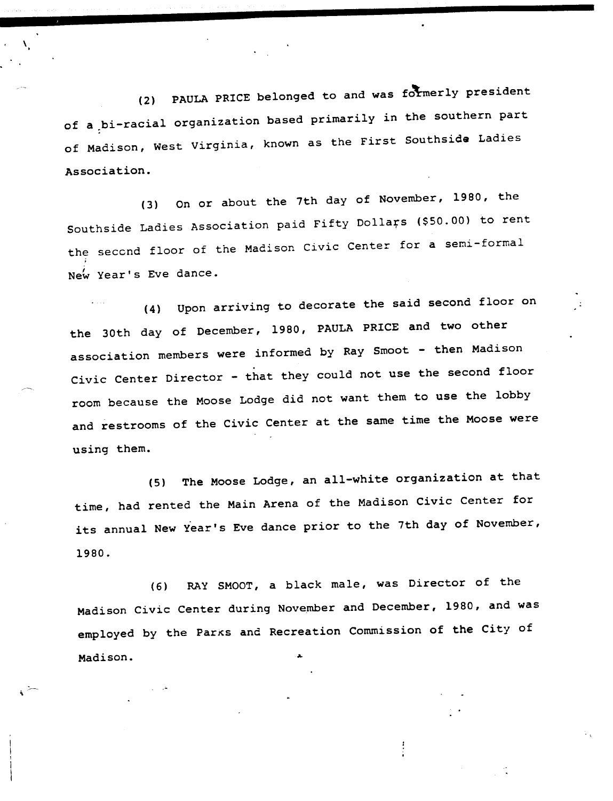(2) PAULA PRICE belonged to and was formerly president of a.bi-racial organization based primarily in the southern part of Madison, West Virginia, known as the First Southside Ladies Association.

On or about the 7th day of November, 1980, the  $(3)$ Southside Ladies Association paid Fifty Dollars (\$50.00) to rent he second floor of the Madison Civic Center for a semi-formal<br>... New Year's Eve dance.

Upon arriving to decorate the said second floor on  $(4)$ the 30th day of December, 1980, PAULA PRICE and two other association members were informed by Ray Smoot - then Madison Civic Center Director - that they could not use the second floor room because the Moose Lodge did not want them to use the lobby and restrooms of the Civic Center at the same time the Moose were using them.

The Moose Lodge, an all-white organization at that  $(5)$ time, had rented the Main Arena of the Madison Civic Center for its annual New Year's Eve dance prior to the 7th day of November, 1980.

RAY SMOOT, a black male, was Director of the  $(6)$ Madison Civic Center during November and December, 1980, and was employed by the Parks and Recreation Commission of the City of Madison.

 $\begin{array}{c} 1 \\ 1 \\ 1 \end{array}$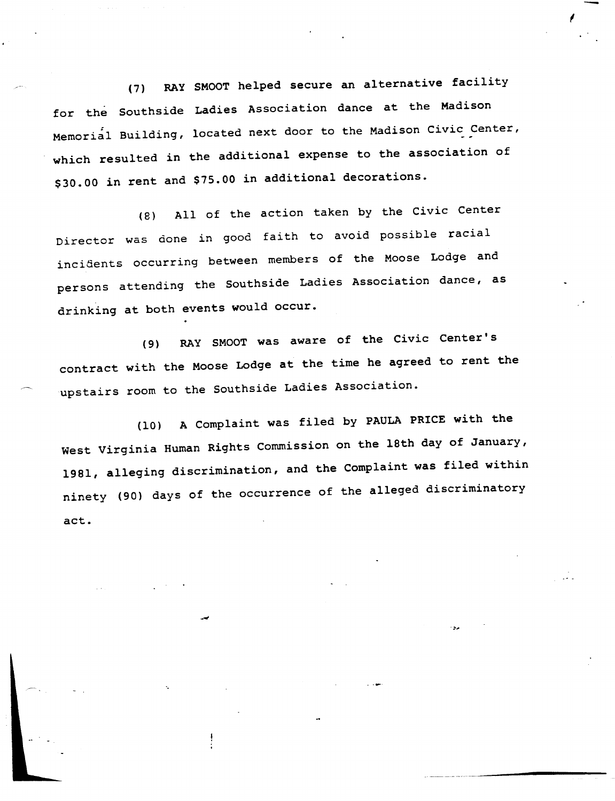(7) RAY SMOOT helped secure an alternative facility for the Southside Ladies Association dance at the Madison Memorial Building, located next door to the Madison Civic Center, which resulted in the additional expense to the association of \$30.00 in rent and \$75.00 in additional decorations.

(B) All of the action taken by the Civic Center Director was done in good faith to avoid possible racial incidents occurring between members of the Moose Lodge and persons attending the Southside Ladies Association dance, as drinking at both events would occur.

(9) RAY SMOOT was aware of the Civic Center's contract with the Moose Lodge at the time he agreed to rent the upstairs room to the Southside Ladies Association.

(10) A Complaint was filed by PAULA PRICE with the West Virginia Human Rights Commission on the 18th day of January, 1981, alleging discrimination, and the Complaint was filed within ninety (90) days of the occurrence of the alleged discriminatory act.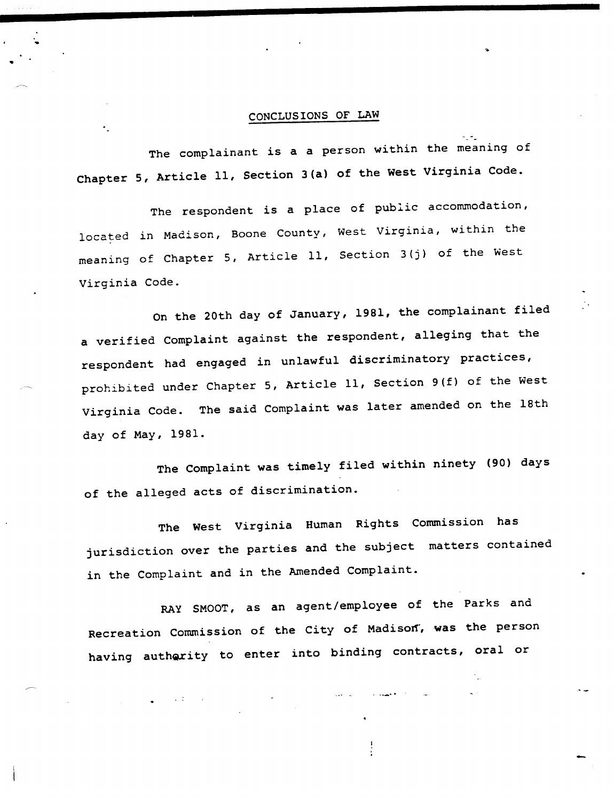## CONCLUSIONS OF LAW

The complainant *is* a a person within the meaning of Chapter 5, Article 11, Section 3(a) of the West Virginia Code.

The respondent *is* <sup>a</sup> place of public accommodation, located in Madison, Boone County, West Virginia, within the meaning of Chapter 5, Article 11, Section 3(j) of the West Virginia Code.

On the 20th day of January, 1981, the complainant filed a verified Complaint against the respondent, alleging that the respondent had engaged in unlawful discriminatory practices, prohibited under Chapter 5, Article 11, Section 9(f) of the West Virginia Code. The said Complaint was later amended on the 18th day of May, 1981.

The Complaint was timely filed within ninety (90) days of the alleged acts of discrimination.

The West Virginia Human Rights Commission has jurisdiction over the parties and the subject matters contained in the Complaint and in the Amended Complaint.

RAY SMOOT, as an agent/employee of the Parks and Recreation Commission of the City of Madison', was the person having authority to enter into binding contracts, oral or

 $\ddot{\cdot}$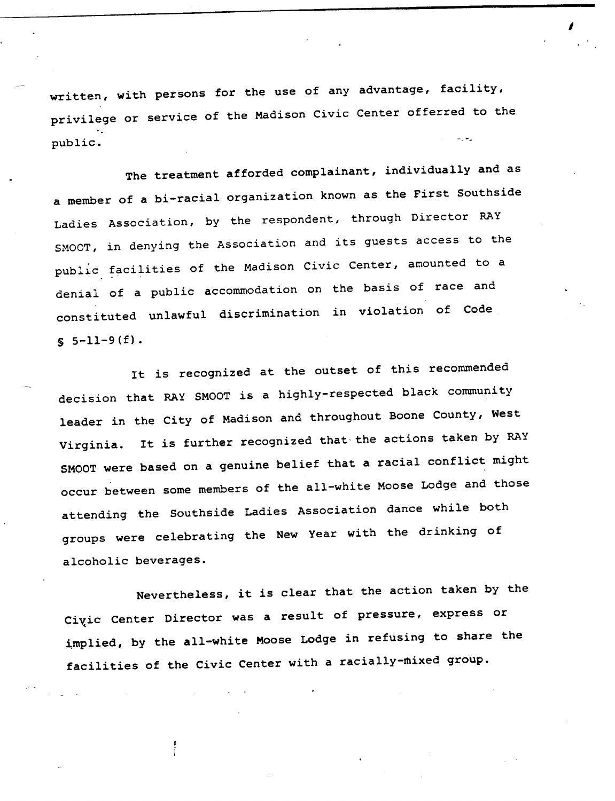written, with persons for the use of any advantage, facility, privilege or service of the Madison Civic Center offerred to the public.

The treatment afforded complainant, individually and as a member of a bi-racial organization known as the First Southside Ladies Association, by the respondent, through Director RAY SMOOT, in denying the Association and its guests access to the  $public$  facilities of the Madison Civic Center, amounted to a denial of a public accommodation on the basis of race and constituted unlawful discrimination in violation of Code  $$5-11-9(f).$ 

It is recognized at the outset of this recommended decision that RAY SMOOT is a highly-respected black community leader in the City of Madison and throughout Boone County, West Virginia. It is further recognized that' the actions taken by RAY SMOOT were based on a genuine belief that a racial conflict might occur between some members of the all-white Moose Lodge and those attending the Southside Ladies Association dance while both groups were celebrating the New Year with the drinking of alcoholic beverages.

Nevertheless, it is clear that the action taken by the Civic Center Director was a result of pressure, express or implied, by the all-white Moose Lodge in refusing to share the facilities of the Civic Center with a racially-mixed group.

 $\frac{1}{2}$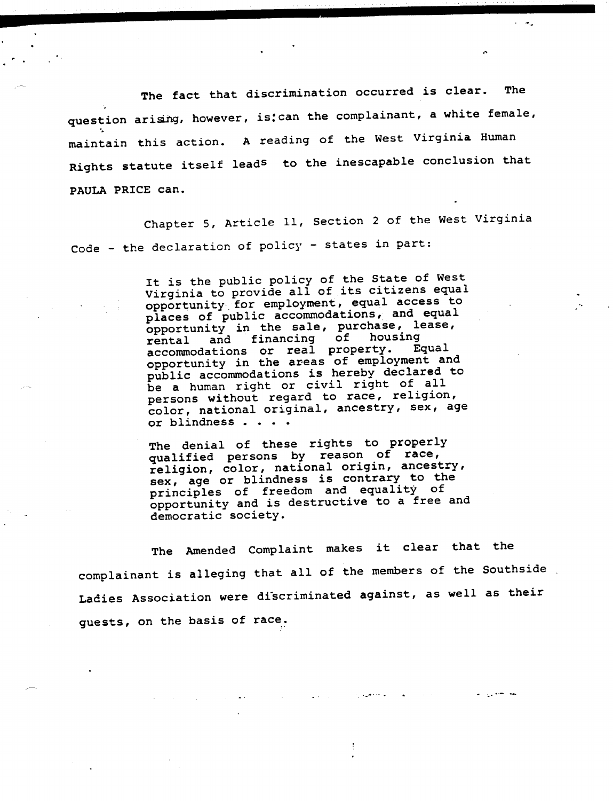The fact that discrimination occurred is clear. The question arising, however, is: can the complainant, a white female, maintain this action. A reading of the West Virginia Human Rights statute itself leads to the inescapable conclusion that PAULA PRICE can.

Chapter 5, Article 11, Section 2 of the West Virginia Code - the declaration of policy - states in part:

> It is the public policy of the State of West Virginia to provide all of its citizens equal opportunity.for employment; equal access to places of pUblic accommodations, and equal opportunity in the sale, purchase, lease,  $r$  rental and financing of housing rental and financing of housing<br>accommodations or real property. Equal accommodations or real property. opportunity in the areas of employment and public accommodations is hereby declared to be a human right or civil right of all persons without regard to race, religion, color, national original, ancestry, sex, age or blindness . . . .

The denial of these rights to properly qualified persons by reason of race, religion, color, national origin, ancestry, sex, age or blindness is contrary to the principles of freedom and equality of opportunity and is destructive to a free and democratic society.

The Amended Complaint makes it clear that the complainant is alleging that all of the members of the SouthsideLadies Association were discriminated against, as well as their guests, on the basis of race.

المستعيدية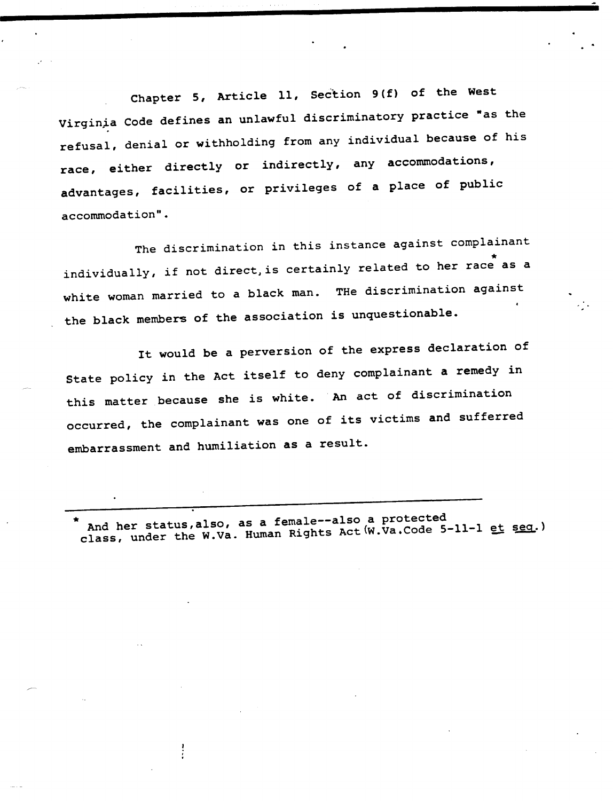Chapter 5, Article 11, Section 9(f) of the West Virginia Code defines an unlawful discriminatory practice "as the refusal, denial or withholding from any individual because of his race, either directly or indirectly, any accommodations, advantages, facilities, or privileges of a place of public accommodation".

The discrimination in this instance against complainant individually, if not direct, is certainly related to her race as a white woman married to a black man. The discrimination against the black members of the association is unquestionable.

It would be a perversion of the express declaration of State policy in the Act itself to deny complainant a remedy in this matter because she is white. An act of discrimination occurred, the complainant was one of its victims and sufferred embarrassment and humiliation as a result.

And her status,also, as a female--also a protected class, under the W.Va. Human Rights Act (W.Va.Code 5-11-1 et seq.)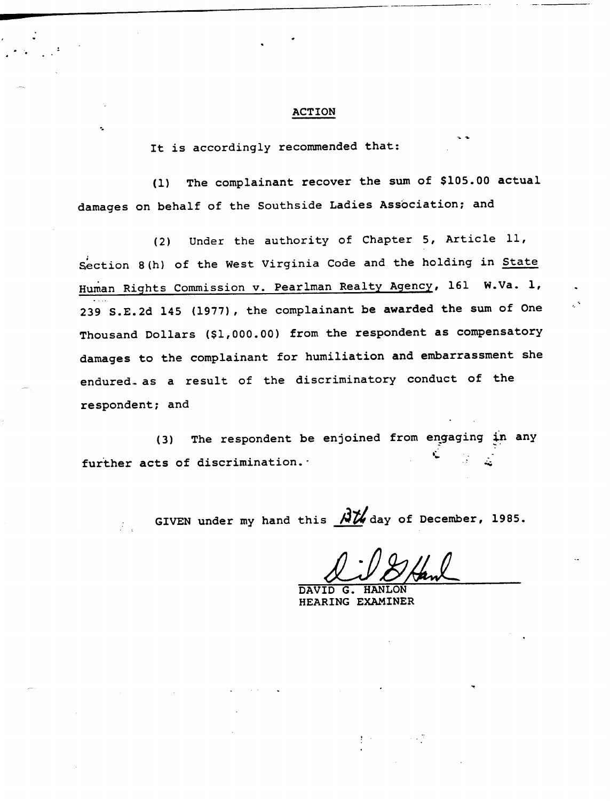#### **ACTION**

It is accordingly recommended that:

The complainant recover the sum of \$105.00 actual  $(1)$ damages on behalf of the Southside Ladies Association; and

(2) Under the authority of Chapter 5, Article 11, Section 8(h) of the West Virginia Code and the holding in State Human Rights Commission v. Pearlman Realty Agency, 161 W.Va. 1, 239 S.E.2d 145 (1977), the complainant be awarded the sum of One Thousand Dollars (\$1,000.00) from the respondent as compensatory damages to the complainant for humiliation and embarrassment she endured. as a result of the discriminatory conduct of the respondent; and

The respondent be enjoined from engaging in any  $(3)$  $\cdot$ further acts of discrimination.

GIVEN under my hand this  $\overrightarrow{AY}$  day of December, 1985.

*VlJ/il*

DAVID G. HANLON HEARING EXAMINER